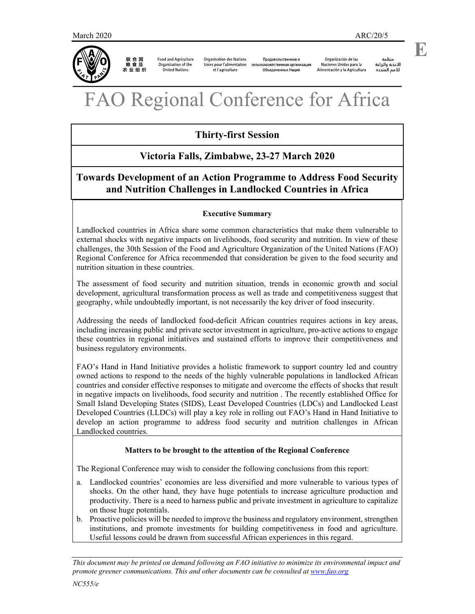

联合国<br>粮食及 农业组织

**Food and Agriculture** Organization of the United Nations

**Organisation des Nations** Продовольственная и Unies pour l'alimentation сельскохозяйственная организация et l'agriculture Объединенных Наций

Organización de las Naciones Unidas para la Alimentación y la Agricultura

منظمة ستنسه<br>الأغذية والزراعة<br>للأمم المتددة  **E** 

# Regional Conference for Africa

# **Thirty-first Session**

## **Victoria Falls, Zimbabwe, 23-27 March 2020**

## **Towards Development of an Action Programme to Address Food Security and Nutrition Challenges in Landlocked Countries in Africa**

### **Executive Summary**

Landlocked countries in Africa share some common characteristics that make them vulnerable to external shocks with negative impacts on livelihoods, food security and nutrition. In view of these challenges, the 30th Session of the Food and Agriculture Organization of the United Nations (FAO) Regional Conference for Africa recommended that consideration be given to the food security and nutrition situation in these countries.

The assessment of food security and nutrition situation, trends in economic growth and social development, agricultural transformation process as well as trade and competitiveness suggest that geography, while undoubtedly important, is not necessarily the key driver of food insecurity.

Addressing the needs of landlocked food-deficit African countries requires actions in key areas, including increasing public and private sector investment in agriculture, pro-active actions to engage these countries in regional initiatives and sustained efforts to improve their competitiveness and business regulatory environments.

FAO's Hand in Hand Initiative provides a holistic framework to support country led and country owned actions to respond to the needs of the highly vulnerable populations in landlocked African countries and consider effective responses to mitigate and overcome the effects of shocks that result in negative impacts on livelihoods, food security and nutrition . The recently established Office for Small Island Developing States (SIDS), Least Developed Countries (LDCs) and Landlocked Least Developed Countries (LLDCs) will play a key role in rolling out FAO's Hand in Hand Initiative to develop an action programme to address food security and nutrition challenges in African Landlocked countries.

## **Matters to be brought to the attention of the Regional Conference**

The Regional Conference may wish to consider the following conclusions from this report:

- a. Landlocked countries' economies are less diversified and more vulnerable to various types of shocks. On the other hand, they have huge potentials to increase agriculture production and productivity. There is a need to harness public and private investment in agriculture to capitalize on those huge potentials.
- b. Proactive policies will be needed to improve the business and regulatory environment, strengthen institutions, and promote investments for building competitiveness in food and agriculture. Useful lessons could be drawn from successful African experiences in this regard.

*This document may be printed on demand following an FAO initiative to minimize its environmental impact and promote greener communications. This and other documents can be consulted at www.fao.org*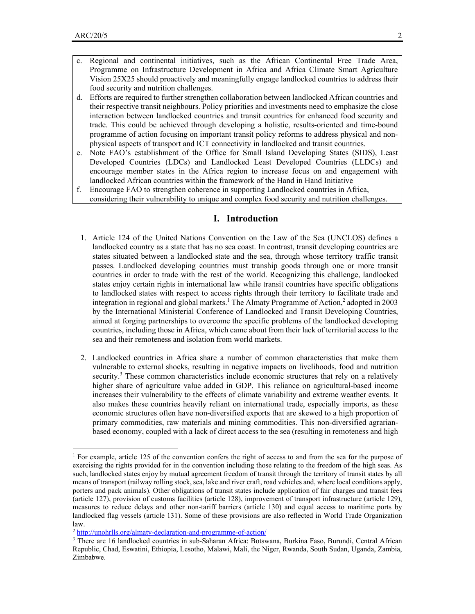-

- Regional and continental initiatives, such as the African Continental Free Trade Area, Programme on Infrastructure Development in Africa and Africa Climate Smart Agriculture Vision 25X25 should proactively and meaningfully engage landlocked countries to address their food security and nutrition challenges.
- d. Efforts are required to further strengthen collaboration between landlocked African countries and their respective transit neighbours. Policy priorities and investments need to emphasize the close interaction between landlocked countries and transit countries for enhanced food security and trade. This could be achieved through developing a holistic, results-oriented and time-bound programme of action focusing on important transit policy reforms to address physical and nonphysical aspects of transport and ICT connectivity in landlocked and transit countries.
- e. Note FAO's establishment of the Office for Small Island Developing States (SIDS), Least Developed Countries (LDCs) and Landlocked Least Developed Countries (LLDCs) and encourage member states in the Africa region to increase focus on and engagement with landlocked African countries within the framework of the Hand in Hand Initiative
- f. Encourage FAO to strengthen coherence in supporting Landlocked countries in Africa,
	- considering their vulnerability to unique and complex food security and nutrition challenges.

#### **I. Introduction**

- 1. Article 124 of the United Nations Convention on the Law of the Sea (UNCLOS) defines a landlocked country as a state that has no sea coast. In contrast, transit developing countries are states situated between a landlocked state and the sea, through whose territory traffic transit passes. Landlocked developing countries must tranship goods through one or more transit countries in order to trade with the rest of the world. Recognizing this challenge, landlocked states enjoy certain rights in international law while transit countries have specific obligations to landlocked states with respect to access rights through their territory to facilitate trade and integration in regional and global markets.<sup>1</sup> The Almaty Programme of Action,<sup>2</sup> adopted in 2003 by the International Ministerial Conference of Landlocked and Transit Developing Countries, aimed at forging partnerships to overcome the specific problems of the landlocked developing countries, including those in Africa, which came about from their lack of territorial access to the sea and their remoteness and isolation from world markets.
- 2. Landlocked countries in Africa share a number of common characteristics that make them vulnerable to external shocks, resulting in negative impacts on livelihoods, food and nutrition security.<sup>3</sup> These common characteristics include economic structures that rely on a relatively higher share of agriculture value added in GDP. This reliance on agricultural-based income increases their vulnerability to the effects of climate variability and extreme weather events. It also makes these countries heavily reliant on international trade, especially imports, as these economic structures often have non-diversified exports that are skewed to a high proportion of primary commodities, raw materials and mining commodities. This non-diversified agrarianbased economy, coupled with a lack of direct access to the sea (resulting in remoteness and high

<sup>&</sup>lt;sup>1</sup> For example, article 125 of the convention confers the right of access to and from the sea for the purpose of exercising the rights provided for in the convention including those relating to the freedom of the high seas. As such, landlocked states enjoy by mutual agreement freedom of transit through the territory of transit states by all means of transport (railway rolling stock, sea, lake and river craft, road vehicles and, where local conditions apply, porters and pack animals). Other obligations of transit states include application of fair charges and transit fees (article 127), provision of customs facilities (article 128), improvement of transport infrastructure (article 129), measures to reduce delays and other non-tariff barriers (article 130) and equal access to maritime ports by landlocked flag vessels (article 131). Some of these provisions are also reflected in World Trade Organization law.

<sup>2</sup> http://unohrlls.org/almaty-declaration-and-programme-of-action/

<sup>3</sup> There are 16 landlocked countries in sub-Saharan Africa: Botswana, Burkina Faso, Burundi, Central African Republic, Chad, Eswatini, Ethiopia, Lesotho, Malawi, Mali, the Niger, Rwanda, South Sudan, Uganda, Zambia, Zimbabwe.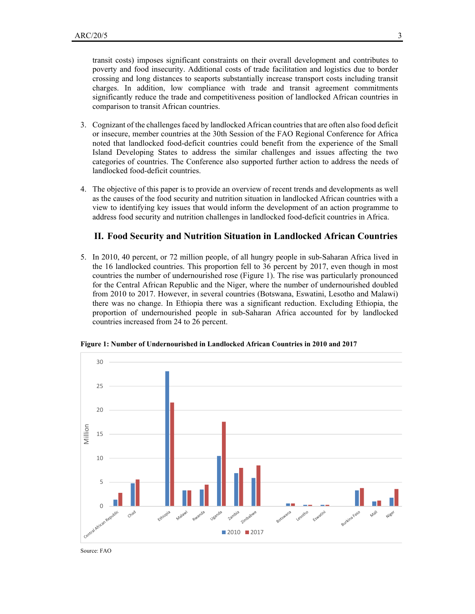transit costs) imposes significant constraints on their overall development and contributes to poverty and food insecurity. Additional costs of trade facilitation and logistics due to border crossing and long distances to seaports substantially increase transport costs including transit charges. In addition, low compliance with trade and transit agreement commitments significantly reduce the trade and competitiveness position of landlocked African countries in comparison to transit African countries.

- 3. Cognizant of the challenges faced by landlocked African countries that are often also food deficit or insecure, member countries at the 30th Session of the FAO Regional Conference for Africa noted that landlocked food-deficit countries could benefit from the experience of the Small Island Developing States to address the similar challenges and issues affecting the two categories of countries. The Conference also supported further action to address the needs of landlocked food-deficit countries.
- 4. The objective of this paper is to provide an overview of recent trends and developments as well as the causes of the food security and nutrition situation in landlocked African countries with a view to identifying key issues that would inform the development of an action programme to address food security and nutrition challenges in landlocked food-deficit countries in Africa.

#### **II. Food Security and Nutrition Situation in Landlocked African Countries**

5. In 2010, 40 percent, or 72 million people, of all hungry people in sub-Saharan Africa lived in the 16 landlocked countries. This proportion fell to 36 percent by 2017, even though in most countries the number of undernourished rose (Figure 1). The rise was particularly pronounced for the Central African Republic and the Niger, where the number of undernourished doubled from 2010 to 2017. However, in several countries (Botswana, Eswatini, Lesotho and Malawi) there was no change. In Ethiopia there was a significant reduction. Excluding Ethiopia, the proportion of undernourished people in sub-Saharan Africa accounted for by landlocked countries increased from 24 to 26 percent.



**Figure 1: Number of Undernourished in Landlocked African Countries in 2010 and 2017** 

Source: FAO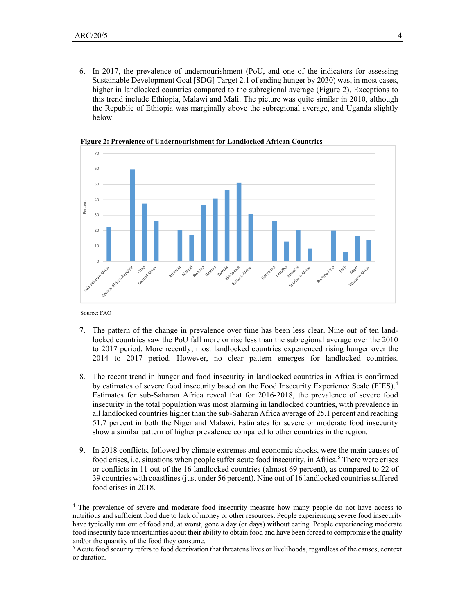6. In 2017, the prevalence of undernourishment (PoU, and one of the indicators for assessing Sustainable Development Goal [SDG] Target 2.1 of ending hunger by 2030) was, in most cases, higher in landlocked countries compared to the subregional average (Figure 2). Exceptions to this trend include Ethiopia, Malawi and Mali. The picture was quite similar in 2010, although the Republic of Ethiopia was marginally above the subregional average, and Uganda slightly below.



**Figure 2: Prevalence of Undernourishment for Landlocked African Countries** 

Source: FAO

<u>.</u>

- 7. The pattern of the change in prevalence over time has been less clear. Nine out of ten landlocked countries saw the PoU fall more or rise less than the subregional average over the 2010 to 2017 period. More recently, most landlocked countries experienced rising hunger over the 2014 to 2017 period. However, no clear pattern emerges for landlocked countries.
- 8. The recent trend in hunger and food insecurity in landlocked countries in Africa is confirmed by estimates of severe food insecurity based on the Food Insecurity Experience Scale (FIES).<sup>4</sup> Estimates for sub-Saharan Africa reveal that for 2016-2018, the prevalence of severe food insecurity in the total population was most alarming in landlocked countries, with prevalence in all landlocked countries higher than the sub-Saharan Africa average of 25.1 percent and reaching 51.7 percent in both the Niger and Malawi. Estimates for severe or moderate food insecurity show a similar pattern of higher prevalence compared to other countries in the region.
- 9. In 2018 conflicts, followed by climate extremes and economic shocks, were the main causes of food crises, i.e. situations when people suffer acute food insecurity, in Africa.<sup>5</sup> There were crises or conflicts in 11 out of the 16 landlocked countries (almost 69 percent), as compared to 22 of 39 countries with coastlines (just under 56 percent). Nine out of 16 landlocked countries suffered food crises in 2018.

<sup>&</sup>lt;sup>4</sup> The prevalence of severe and moderate food insecurity measure how many people do not have access to nutritious and sufficient food due to lack of money or other resources. People experiencing severe food insecurity have typically run out of food and, at worst, gone a day (or days) without eating. People experiencing moderate food insecurity face uncertainties about their ability to obtain food and have been forced to compromise the quality and/or the quantity of the food they consume.

<sup>&</sup>lt;sup>5</sup> Acute food security refers to food deprivation that threatens lives or livelihoods, regardless of the causes, context or duration.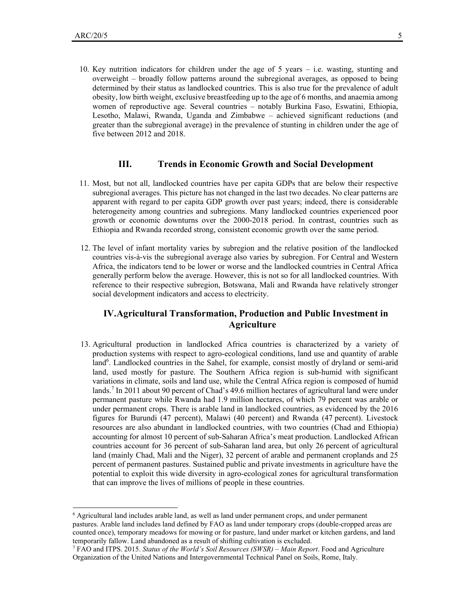-

10. Key nutrition indicators for children under the age of 5 years – i.e. wasting, stunting and overweight – broadly follow patterns around the subregional averages, as opposed to being determined by their status as landlocked countries. This is also true for the prevalence of adult obesity, low birth weight, exclusive breastfeeding up to the age of 6 months, and anaemia among women of reproductive age. Several countries – notably Burkina Faso, Eswatini, Ethiopia, Lesotho, Malawi, Rwanda, Uganda and Zimbabwe – achieved significant reductions (and greater than the subregional average) in the prevalence of stunting in children under the age of five between 2012 and 2018.

#### **III. Trends in Economic Growth and Social Development**

- 11. Most, but not all, landlocked countries have per capita GDPs that are below their respective subregional averages. This picture has not changed in the last two decades. No clear patterns are apparent with regard to per capita GDP growth over past years; indeed, there is considerable heterogeneity among countries and subregions. Many landlocked countries experienced poor growth or economic downturns over the 2000-2018 period. In contrast, countries such as Ethiopia and Rwanda recorded strong, consistent economic growth over the same period.
- 12. The level of infant mortality varies by subregion and the relative position of the landlocked countries vis-à-vis the subregional average also varies by subregion. For Central and Western Africa, the indicators tend to be lower or worse and the landlocked countries in Central Africa generally perform below the average. However, this is not so for all landlocked countries. With reference to their respective subregion, Botswana, Mali and Rwanda have relatively stronger social development indicators and access to electricity.

### **IV.Agricultural Transformation, Production and Public Investment in Agriculture**

13. Agricultural production in landlocked Africa countries is characterized by a variety of production systems with respect to agro-ecological conditions, land use and quantity of arable land<sup>6</sup>. Landlocked countries in the Sahel, for example, consist mostly of dryland or semi-arid land, used mostly for pasture. The Southern Africa region is sub-humid with significant variations in climate, soils and land use, while the Central Africa region is composed of humid lands.<sup>7</sup> In 2011 about 90 percent of Chad's 49.6 million hectares of agricultural land were under permanent pasture while Rwanda had 1.9 million hectares, of which 79 percent was arable or under permanent crops. There is arable land in landlocked countries, as evidenced by the 2016 figures for Burundi (47 percent), Malawi (40 percent) and Rwanda (47 percent). Livestock resources are also abundant in landlocked countries, with two countries (Chad and Ethiopia) accounting for almost 10 percent of sub-Saharan Africa's meat production. Landlocked African countries account for 36 percent of sub-Saharan land area, but only 26 percent of agricultural land (mainly Chad, Mali and the Niger), 32 percent of arable and permanent croplands and 25 percent of permanent pastures. Sustained public and private investments in agriculture have the potential to exploit this wide diversity in agro-ecological zones for agricultural transformation that can improve the lives of millions of people in these countries.

<sup>6</sup> Agricultural land includes arable land, as well as land under permanent crops, and under permanent pastures. Arable land includes land defined by FAO as land under temporary crops (double-cropped areas are counted once), temporary meadows for mowing or for pasture, land under market or kitchen gardens, and land temporarily fallow. Land abandoned as a result of shifting cultivation is excluded.

<sup>7</sup> FAO and ITPS. 2015. *Status of the World's Soil Resources (SWSR) – Main Report*. Food and Agriculture Organization of the United Nations and Intergovernmental Technical Panel on Soils, Rome, Italy.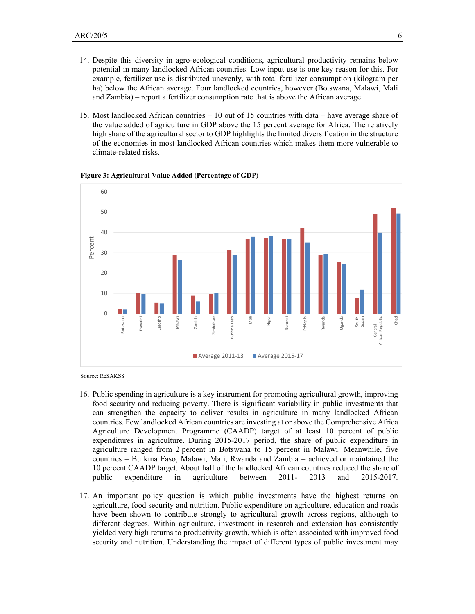- 14. Despite this diversity in agro-ecological conditions, agricultural productivity remains below potential in many landlocked African countries. Low input use is one key reason for this. For example, fertilizer use is distributed unevenly, with total fertilizer consumption (kilogram per ha) below the African average. Four landlocked countries, however (Botswana, Malawi, Mali and Zambia) – report a fertilizer consumption rate that is above the African average.
- 15. Most landlocked African countries 10 out of 15 countries with data have average share of the value added of agriculture in GDP above the 15 percent average for Africa. The relatively high share of the agricultural sector to GDP highlights the limited diversification in the structure of the economies in most landlocked African countries which makes them more vulnerable to climate-related risks.



#### **Figure 3: Agricultural Value Added (Percentage of GDP)**

Source: ReSAKSS

- 16. Public spending in agriculture is a key instrument for promoting agricultural growth, improving food security and reducing poverty. There is significant variability in public investments that can strengthen the capacity to deliver results in agriculture in many landlocked African countries. Few landlocked African countries are investing at or above the Comprehensive Africa Agriculture Development Programme (CAADP) target of at least 10 percent of public expenditures in agriculture. During 2015-2017 period, the share of public expenditure in agriculture ranged from 2 percent in Botswana to 15 percent in Malawi. Meanwhile, five countries – Burkina Faso, Malawi, Mali, Rwanda and Zambia – achieved or maintained the 10 percent CAADP target. About half of the landlocked African countries reduced the share of public expenditure in agriculture between 2011- 2013 and 2015-2017.
- 17. An important policy question is which public investments have the highest returns on agriculture, food security and nutrition. Public expenditure on agriculture, education and roads have been shown to contribute strongly to agricultural growth across regions, although to different degrees. Within agriculture, investment in research and extension has consistently yielded very high returns to productivity growth, which is often associated with improved food security and nutrition. Understanding the impact of different types of public investment may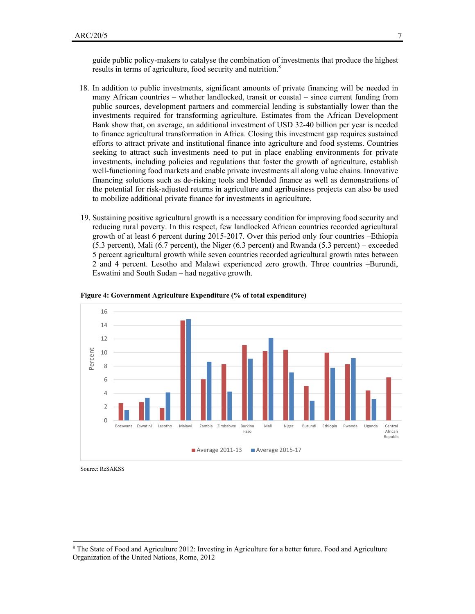guide public policy-makers to catalyse the combination of investments that produce the highest results in terms of agriculture, food security and nutrition.<sup>8</sup>

- 18. In addition to public investments, significant amounts of private financing will be needed in many African countries – whether landlocked, transit or coastal – since current funding from public sources, development partners and commercial lending is substantially lower than the investments required for transforming agriculture. Estimates from the African Development Bank show that, on average, an additional investment of USD 32-40 billion per year is needed to finance agricultural transformation in Africa. Closing this investment gap requires sustained efforts to attract private and institutional finance into agriculture and food systems. Countries seeking to attract such investments need to put in place enabling environments for private investments, including policies and regulations that foster the growth of agriculture, establish well-functioning food markets and enable private investments all along value chains. Innovative financing solutions such as de-risking tools and blended finance as well as demonstrations of the potential for risk-adjusted returns in agriculture and agribusiness projects can also be used to mobilize additional private finance for investments in agriculture.
- 19. Sustaining positive agricultural growth is a necessary condition for improving food security and reducing rural poverty. In this respect, few landlocked African countries recorded agricultural growth of at least 6 percent during 2015-2017. Over this period only four countries –Ethiopia (5.3 percent), Mali (6.7 percent), the Niger (6.3 percent) and Rwanda (5.3 percent) – exceeded 5 percent agricultural growth while seven countries recorded agricultural growth rates between 2 and 4 percent. Lesotho and Malawi experienced zero growth. Three countries –Burundi, Eswatini and South Sudan – had negative growth.



#### **Figure 4: Government Agriculture Expenditure (% of total expenditure)**

Source: ReSAKSS

<u>.</u>

<sup>8</sup> The State of Food and Agriculture 2012: Investing in Agriculture for a better future. Food and Agriculture Organization of the United Nations, Rome, 2012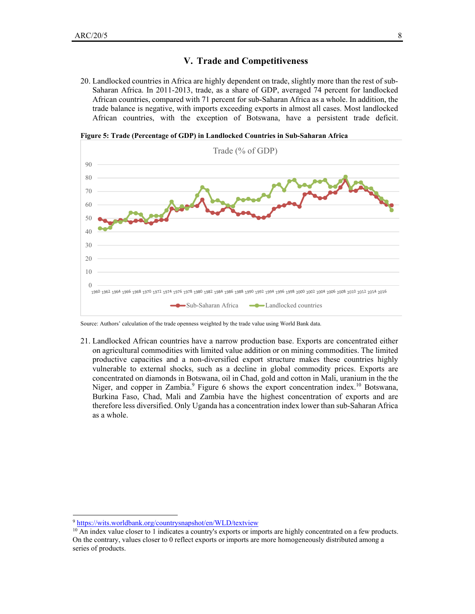#### **V. Trade and Competitiveness**

20. Landlocked countries in Africa are highly dependent on trade, slightly more than the rest of sub-Saharan Africa. In 2011-2013, trade, as a share of GDP, averaged 74 percent for landlocked African countries, compared with 71 percent for sub-Saharan Africa as a whole. In addition, the trade balance is negative, with imports exceeding exports in almost all cases. Most landlocked African countries, with the exception of Botswana, have a persistent trade deficit.



**Figure 5: Trade (Percentage of GDP) in Landlocked Countries in Sub-Saharan Africa** 

Source: Authors' calculation of the trade openness weighted by the trade value using World Bank data.

21. Landlocked African countries have a narrow production base. Exports are concentrated either on agricultural commodities with limited value addition or on mining commodities. The limited productive capacities and a non-diversified export structure makes these countries highly vulnerable to external shocks, such as a decline in global commodity prices. Exports are concentrated on diamonds in Botswana, oil in Chad, gold and cotton in Mali, uranium in the the Niger, and copper in Zambia.<sup>9</sup> Figure 6 shows the export concentration index.<sup>10</sup> Botswana, Burkina Faso, Chad, Mali and Zambia have the highest concentration of exports and are therefore less diversified. Only Uganda has a concentration index lower than sub-Saharan Africa as a whole.

-

<sup>9</sup> https://wits.worldbank.org/countrysnapshot/en/WLD/textview

<sup>&</sup>lt;sup>10</sup> An index value closer to 1 indicates a country's exports or imports are highly concentrated on a few products. On the contrary, values closer to 0 reflect exports or imports are more homogeneously distributed among a series of products.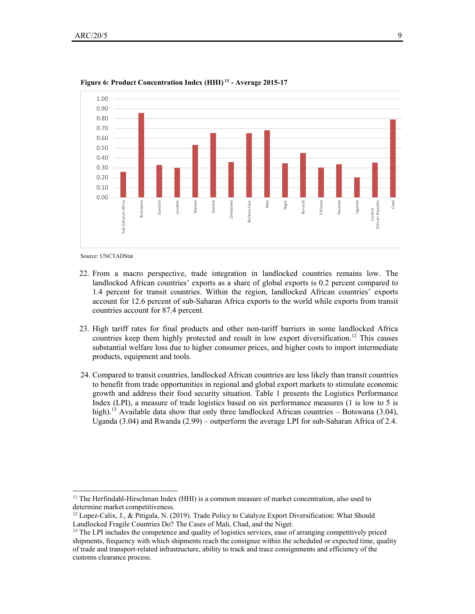

**Figure 6: Product Concentration Index (HHI) 11 - Average 2015-17** 

Source: UNCTADStat

<u>.</u>

- 22. From a macro perspective, trade integration in landlocked countries remains low. The landlocked African countries' exports as a share of global exports is 0.2 percent compared to 1.4 percent for transit countries. Within the region, landlocked African countries' exports account for 12.6 percent of sub-Saharan Africa exports to the world while exports from transit countries account for 87.4 percent.
- 23. High tariff rates for final products and other non-tariff barriers in some landlocked Africa countries keep them highly protected and result in low export diversification.<sup>12</sup> This causes substantial welfare loss due to higher consumer prices, and higher costs to import intermediate products, equipment and tools.
- 24. Compared to transit countries, landlocked African countries are less likely than transit countries to benefit from trade opportunities in regional and global export markets to stimulate economic growth and address their food security situation. Table 1 presents the Logistics Performance Index (LPI), a measure of trade logistics based on six performance measures (1 is low to 5 is high).<sup>13</sup> Available data show that only three landlocked African countries – Botswana (3.04), Uganda (3.04) and Rwanda (2.99) – outperform the average LPI for sub-Saharan Africa of 2.4.

<sup>&</sup>lt;sup>11</sup> The Herfindahl-Hirschman Index (HHI) is a common measure of market concentration, also used to determine market competitiveness.

 $12$  Lopez-Calix, J., & Pitigala, N. (2019). Trade Policy to Catalyze Export Diversification: What Should Landlocked Fragile Countries Do? The Cases of Mali, Chad, and the Niger.

<sup>&</sup>lt;sup>13</sup> The LPI includes the competence and quality of logistics services, ease of arranging competitively priced shipments, frequency with which shipments reach the consignee within the scheduled or expected time, quality of trade and transport-related infrastructure, ability to track and trace consignments and efficiency of the customs clearance process.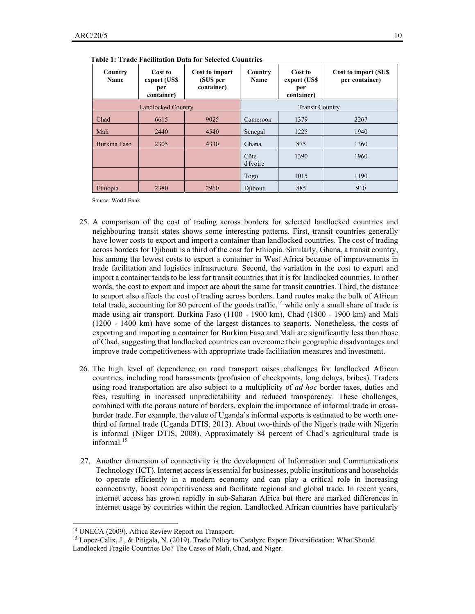| Country<br><b>Name</b> | Cost to<br>export (US\$<br>per<br>container) | Cost to import<br>(SU\$ per<br>container) | Country<br><b>Name</b> | Cost to<br>export (US\$<br>per<br>container) | Cost to import (SUS<br>per container) |
|------------------------|----------------------------------------------|-------------------------------------------|------------------------|----------------------------------------------|---------------------------------------|
| Landlocked Country     |                                              |                                           | <b>Transit Country</b> |                                              |                                       |
| Chad                   | 6615                                         | 9025                                      | Cameroon               | 1379                                         | 2267                                  |
| Mali                   | 2440                                         | 4540                                      | Senegal                | 1225                                         | 1940                                  |
| Burkina Faso           | 2305                                         | 4330                                      | Ghana                  | 875                                          | 1360                                  |
|                        |                                              |                                           | Côte<br>d'Ivoire       | 1390                                         | 1960                                  |
|                        |                                              |                                           | Togo                   | 1015                                         | 1190                                  |
| Ethiopia               | 2380                                         | 2960                                      | Diibouti               | 885                                          | 910                                   |

 **Table 1: Trade Facilitation Data for Selected Countries**

Source: World Bank

- 25. A comparison of the cost of trading across borders for selected landlocked countries and neighbouring transit states shows some interesting patterns. First, transit countries generally have lower costs to export and import a container than landlocked countries. The cost of trading across borders for Djibouti is a third of the cost for Ethiopia. Similarly, Ghana, a transit country, has among the lowest costs to export a container in West Africa because of improvements in trade facilitation and logistics infrastructure. Second, the variation in the cost to export and import a container tends to be less for transit countries that it is for landlocked countries. In other words, the cost to export and import are about the same for transit countries. Third, the distance to seaport also affects the cost of trading across borders. Land routes make the bulk of African total trade, accounting for 80 percent of the goods traffic,  $14$  while only a small share of trade is made using air transport. Burkina Faso (1100 - 1900 km), Chad (1800 - 1900 km) and Mali (1200 - 1400 km) have some of the largest distances to seaports. Nonetheless, the costs of exporting and importing a container for Burkina Faso and Mali are significantly less than those of Chad, suggesting that landlocked countries can overcome their geographic disadvantages and improve trade competitiveness with appropriate trade facilitation measures and investment.
- 26. The high level of dependence on road transport raises challenges for landlocked African countries, including road harassments (profusion of checkpoints, long delays, bribes). Traders using road transportation are also subject to a multiplicity of *ad hoc* border taxes, duties and fees, resulting in increased unpredictability and reduced transparency. These challenges, combined with the porous nature of borders, explain the importance of informal trade in crossborder trade. For example, the value of Uganda's informal exports is estimated to be worth onethird of formal trade (Uganda DTIS, 2013). About two-thirds of the Niger's trade with Nigeria is informal (Niger DTIS, 2008). Approximately 84 percent of Chad's agricultural trade is informal.<sup>15</sup>
- 27. Another dimension of connectivity is the development of Information and Communications Technology (ICT). Internet access is essential for businesses, public institutions and households to operate efficiently in a modern economy and can play a critical role in increasing connectivity, boost competitiveness and facilitate regional and global trade. In recent years, internet access has grown rapidly in sub-Saharan Africa but there are marked differences in internet usage by countries within the region. Landlocked African countries have particularly

-

<sup>&</sup>lt;sup>14</sup> UNECA (2009). Africa Review Report on Transport.

<sup>15</sup> Lopez-Calix, J., & Pitigala, N. (2019). Trade Policy to Catalyze Export Diversification: What Should Landlocked Fragile Countries Do? The Cases of Mali, Chad, and Niger.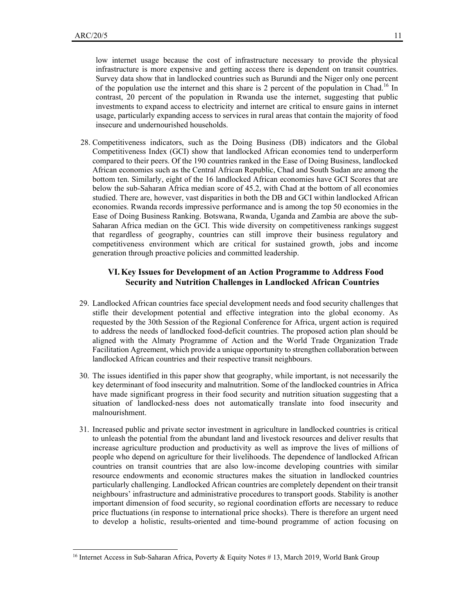<u>.</u>

low internet usage because the cost of infrastructure necessary to provide the physical infrastructure is more expensive and getting access there is dependent on transit countries. Survey data show that in landlocked countries such as Burundi and the Niger only one percent of the population use the internet and this share is 2 percent of the population in Chad.16 In contrast, 20 percent of the population in Rwanda use the internet, suggesting that public investments to expand access to electricity and internet are critical to ensure gains in internet usage, particularly expanding access to services in rural areas that contain the majority of food insecure and undernourished households.

28. Competitiveness indicators, such as the Doing Business (DB) indicators and the Global Competitiveness Index (GCI) show that landlocked African economies tend to underperform compared to their peers. Of the 190 countries ranked in the Ease of Doing Business, landlocked African economies such as the Central African Republic, Chad and South Sudan are among the bottom ten. Similarly, eight of the 16 landlocked African economies have GCI Scores that are below the sub-Saharan Africa median score of 45.2, with Chad at the bottom of all economies studied. There are, however, vast disparities in both the DB and GCI within landlocked African economies. Rwanda records impressive performance and is among the top 50 economies in the Ease of Doing Business Ranking. Botswana, Rwanda, Uganda and Zambia are above the sub-Saharan Africa median on the GCI. This wide diversity on competitiveness rankings suggest that regardless of geography, countries can still improve their business regulatory and competitiveness environment which are critical for sustained growth, jobs and income generation through proactive policies and committed leadership.

#### **VI.Key Issues for Development of an Action Programme to Address Food Security and Nutrition Challenges in Landlocked African Countries**

- 29. Landlocked African countries face special development needs and food security challenges that stifle their development potential and effective integration into the global economy. As requested by the 30th Session of the Regional Conference for Africa, urgent action is required to address the needs of landlocked food-deficit countries. The proposed action plan should be aligned with the Almaty Programme of Action and the World Trade Organization Trade Facilitation Agreement, which provide a unique opportunity to strengthen collaboration between landlocked African countries and their respective transit neighbours.
- 30. The issues identified in this paper show that geography, while important, is not necessarily the key determinant of food insecurity and malnutrition. Some of the landlocked countries in Africa have made significant progress in their food security and nutrition situation suggesting that a situation of landlocked-ness does not automatically translate into food insecurity and malnourishment.
- 31. Increased public and private sector investment in agriculture in landlocked countries is critical to unleash the potential from the abundant land and livestock resources and deliver results that increase agriculture production and productivity as well as improve the lives of millions of people who depend on agriculture for their livelihoods. The dependence of landlocked African countries on transit countries that are also low-income developing countries with similar resource endowments and economic structures makes the situation in landlocked countries particularly challenging. Landlocked African countries are completely dependent on their transit neighbours' infrastructure and administrative procedures to transport goods. Stability is another important dimension of food security, so regional coordination efforts are necessary to reduce price fluctuations (in response to international price shocks). There is therefore an urgent need to develop a holistic, results-oriented and time-bound programme of action focusing on

<sup>&</sup>lt;sup>16</sup> Internet Access in Sub-Saharan Africa, Poverty & Equity Notes # 13, March 2019, World Bank Group